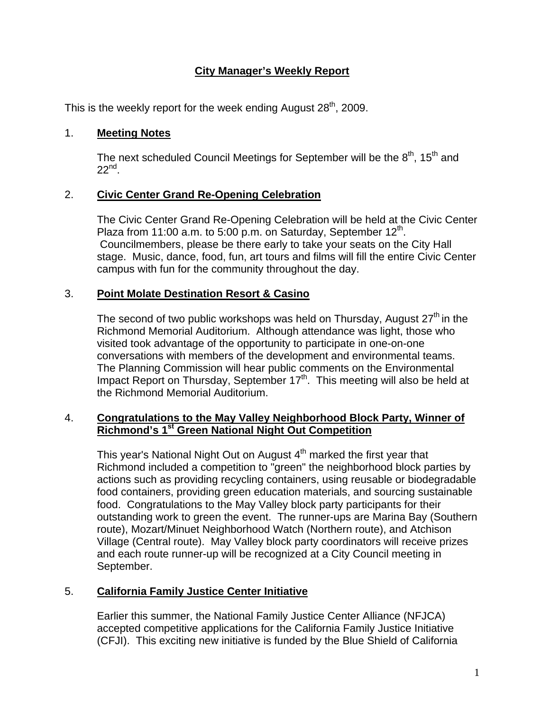# **City Manager's Weekly Report**

This is the weekly report for the week ending August  $28<sup>th</sup>$ , 2009.

#### 1. **Meeting Notes**

The next scheduled Council Meetings for September will be the  $8<sup>th</sup>$ , 15<sup>th</sup> and  $22^{nd}$ .

## 2. **Civic Center Grand Re-Opening Celebration**

The Civic Center Grand Re-Opening Celebration will be held at the Civic Center Plaza from 11:00 a.m. to 5:00 p.m. on Saturday, September  $12<sup>th</sup>$ . Councilmembers, please be there early to take your seats on the City Hall stage. Music, dance, food, fun, art tours and films will fill the entire Civic Center campus with fun for the community throughout the day.

### 3. **Point Molate Destination Resort & Casino**

The second of two public workshops was held on Thursday, August  $27<sup>th</sup>$  in the Richmond Memorial Auditorium. Although attendance was light, those who visited took advantage of the opportunity to participate in one-on-one conversations with members of the development and environmental teams. The Planning Commission will hear public comments on the Environmental Impact Report on Thursday, September  $17<sup>th</sup>$ . This meeting will also be held at the Richmond Memorial Auditorium.

### 4. **Congratulations to the May Valley Neighborhood Block Party, Winner of Richmond's 1st Green National Night Out Competition**

This year's National Night Out on August  $4<sup>th</sup>$  marked the first year that Richmond included a competition to "green" the neighborhood block parties by actions such as providing recycling containers, using reusable or biodegradable food containers, providing green education materials, and sourcing sustainable food. Congratulations to the May Valley block party participants for their outstanding work to green the event. The runner-ups are Marina Bay (Southern route), Mozart/Minuet Neighborhood Watch (Northern route), and Atchison Village (Central route). May Valley block party coordinators will receive prizes and each route runner-up will be recognized at a City Council meeting in September.

## 5. **California Family Justice Center Initiative**

Earlier this summer, the National Family Justice Center Alliance (NFJCA) accepted competitive applications for the California Family Justice Initiative (CFJI). This exciting new initiative is funded by the Blue Shield of California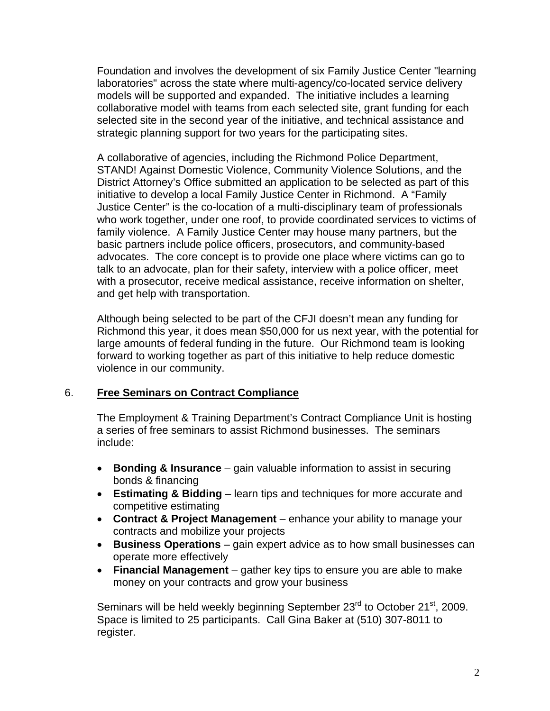Foundation and involves the development of six Family Justice Center "learning laboratories" across the state where multi-agency/co-located service delivery models will be supported and expanded. The initiative includes a learning collaborative model with teams from each selected site, grant funding for each selected site in the second year of the initiative, and technical assistance and strategic planning support for two years for the participating sites.

A collaborative of agencies, including the Richmond Police Department, STAND! Against Domestic Violence, Community Violence Solutions, and the District Attorney's Office submitted an application to be selected as part of this initiative to develop a local Family Justice Center in Richmond. A "Family Justice Center" is the co-location of a multi-disciplinary team of professionals who work together, under one roof, to provide coordinated services to victims of family violence. A Family Justice Center may house many partners, but the basic partners include police officers, prosecutors, and community-based advocates. The core concept is to provide one place where victims can go to talk to an advocate, plan for their safety, interview with a police officer, meet with a prosecutor, receive medical assistance, receive information on shelter, and get help with transportation.

Although being selected to be part of the CFJI doesn't mean any funding for Richmond this year, it does mean \$50,000 for us next year, with the potential for large amounts of federal funding in the future. Our Richmond team is looking forward to working together as part of this initiative to help reduce domestic violence in our community.

#### 6. **Free Seminars on Contract Compliance**

The Employment & Training Department's Contract Compliance Unit is hosting a series of free seminars to assist Richmond businesses. The seminars include:

- **Bonding & Insurance** gain valuable information to assist in securing bonds & financing
- **Estimating & Bidding** learn tips and techniques for more accurate and competitive estimating
- **Contract & Project Management** enhance your ability to manage your contracts and mobilize your projects
- **Business Operations** gain expert advice as to how small businesses can operate more effectively
- **Financial Management** gather key tips to ensure you are able to make money on your contracts and grow your business

Seminars will be held weekly beginning September 23<sup>rd</sup> to October 21<sup>st</sup>, 2009. Space is limited to 25 participants. Call Gina Baker at (510) 307-8011 to register.